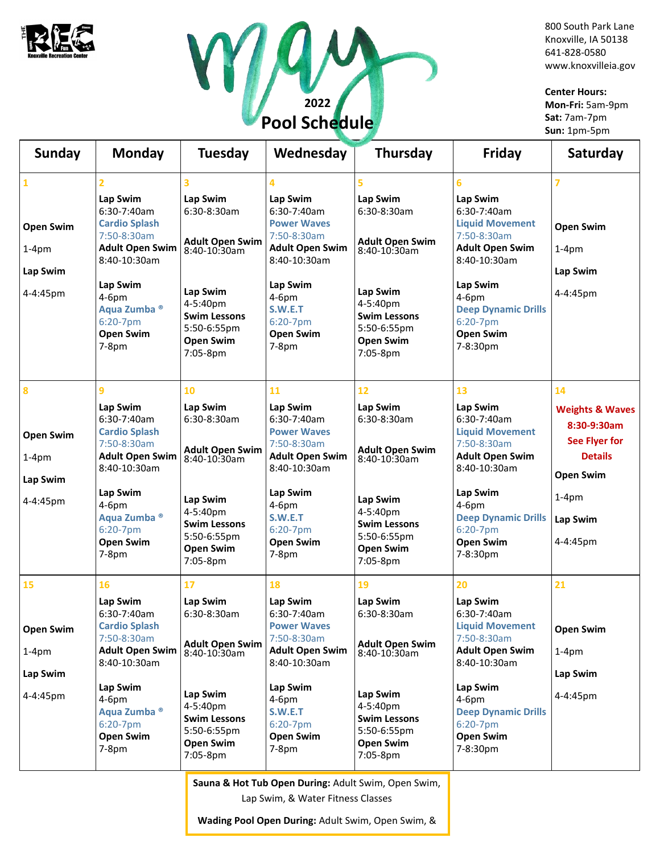



800 South Park Lane Knoxville, IA 50138 641-828-0580 www.knoxvilleia.gov

**Center Hours: Mon-Fri:** 5am-9pm **Sat:** 7am-7pm **Sun:** 1pm-5pm

| <b>Sunday</b>                                                       | <b>Monday</b>                                                                                                                                                                                                | <b>Tuesday</b>                                                                                                                                                        | Wednesday                                                                                                                                                                                          | <b>Thursday</b>                                                                                                                                                         | Friday                                                                                                                                                                                                              | Saturday                                                                                                                                  |
|---------------------------------------------------------------------|--------------------------------------------------------------------------------------------------------------------------------------------------------------------------------------------------------------|-----------------------------------------------------------------------------------------------------------------------------------------------------------------------|----------------------------------------------------------------------------------------------------------------------------------------------------------------------------------------------------|-------------------------------------------------------------------------------------------------------------------------------------------------------------------------|---------------------------------------------------------------------------------------------------------------------------------------------------------------------------------------------------------------------|-------------------------------------------------------------------------------------------------------------------------------------------|
| $\mathbf{1}$<br><b>Open Swim</b><br>$1-4pm$<br>Lap Swim<br>4-4:45pm | 2<br>Lap Swim<br>6:30-7:40am<br><b>Cardio Splash</b><br>7:50-8:30am<br><b>Adult Open Swim</b><br>8:40-10:30am<br>Lap Swim<br>4-6pm<br>Aqua Zumba <sup>®</sup><br>6:20-7pm<br><b>Open Swim</b><br>$7-8pm$     | 3<br>Lap Swim<br>6:30-8:30am<br>Adult Open Swim<br>8:40-10:30am<br>Lap Swim<br>4-5:40pm<br><b>Swim Lessons</b><br>5:50-6:55pm<br><b>Open Swim</b><br>7:05-8pm         | 4<br>Lap Swim<br>6:30-7:40am<br><b>Power Waves</b><br>7:50-8:30am<br><b>Adult Open Swim</b><br>8:40-10:30am<br>Lap Swim<br>4-6pm<br><b>S.W.E.T</b><br>6:20-7pm<br><b>Open Swim</b><br>$7-8pm$      | 5<br>Lap Swim<br>$6:30-8:30am$<br><b>Adult Open Swim</b><br>8:40-10:30am<br>Lap Swim<br>4-5:40pm<br><b>Swim Lessons</b><br>5:50-6:55pm<br><b>Open Swim</b><br>7:05-8pm  | 6<br>Lap Swim<br>6:30-7:40am<br><b>Liquid Movement</b><br>7:50-8:30am<br><b>Adult Open Swim</b><br>8:40-10:30am<br>Lap Swim<br>4-6pm<br><b>Deep Dynamic Drills</b><br>6:20-7pm<br><b>Open Swim</b><br>7-8:30pm      | <b>Open Swim</b><br>$1-4pm$<br>Lap Swim<br>4-4:45pm                                                                                       |
| $\bf{8}$<br><b>Open Swim</b><br>$1-4pm$<br>Lap Swim<br>4-4:45pm     | 9<br>Lap Swim<br>6:30-7:40am<br><b>Cardio Splash</b><br>7:50-8:30am<br><b>Adult Open Swim</b><br>8:40-10:30am<br>Lap Swim<br>$4-6pm$<br>Aqua Zumba <sup>®</sup><br>6:20-7pm<br><b>Open Swim</b><br>$7-8pm$   | 10<br>Lap Swim<br>6:30-8:30am<br><b>Adult Open Swim</b><br>8:40-10:30am<br>Lap Swim<br>4-5:40pm<br><b>Swim Lessons</b><br>5:50-6:55pm<br><b>Open Swim</b><br>7:05-8pm | 11<br>Lap Swim<br>$6:30-7:40am$<br><b>Power Waves</b><br>7:50-8:30am<br><b>Adult Open Swim</b><br>8:40-10:30am<br>Lap Swim<br>$4-6pm$<br><b>S.W.E.T</b><br>6:20-7pm<br><b>Open Swim</b><br>$7-8pm$ | 12<br>Lap Swim<br>$6:30-8:30am$<br><b>Adult Open Swim</b><br>8:40-10:30am<br>Lap Swim<br>4-5:40pm<br><b>Swim Lessons</b><br>5:50-6:55pm<br><b>Open Swim</b><br>7:05-8pm | 13<br>Lap Swim<br>$6:30-7:40am$<br><b>Liquid Movement</b><br>7:50-8:30am<br><b>Adult Open Swim</b><br>8:40-10:30am<br>Lap Swim<br>$4-6pm$<br><b>Deep Dynamic Drills</b><br>6:20-7pm<br><b>Open Swim</b><br>7-8:30pm | 14<br><b>Weights &amp; Waves</b><br>8:30-9:30am<br>See Flyer for<br><b>Details</b><br><b>Open Swim</b><br>$1-4pm$<br>Lap Swim<br>4-4:45pm |
| 15<br><b>Open Swim</b><br>$1-4pm$<br>Lap Swim<br>4-4:45pm           | 16<br>Lap Swim<br>6:30-7:40am<br><b>Cardio Splash</b><br>7:50-8:30am<br><b>Adult Open Swim</b><br>8:40-10:30am<br>Lap Swim<br>4-6pm<br>Aqua Zumba <sup>®</sup><br>$6:20-7$ pm<br><b>Open Swim</b><br>$7-8pm$ | 17<br>Lap Swim<br>6:30-8:30am<br><b>Adult Open Swim</b><br>8:40-10:30am<br>Lap Swim<br>4-5:40pm<br><b>Swim Lessons</b><br>5:50-6:55pm<br><b>Open Swim</b><br>7:05-8pm | 18<br>Lap Swim<br>6:30-7:40am<br><b>Power Waves</b><br>7:50-8:30am<br><b>Adult Open Swim</b><br>8:40-10:30am<br>Lap Swim<br>$4-6pm$<br>S.W.E.T<br>6:20-7pm<br><b>Open Swim</b><br>$7-8pm$          | 19<br>Lap Swim<br>$6:30-8:30am$<br><b>Adult Open Swim</b><br>8:40-10:30am<br>Lap Swim<br>4-5:40pm<br><b>Swim Lessons</b><br>5:50-6:55pm<br><b>Open Swim</b><br>7:05-8pm | 20<br>Lap Swim<br>6:30-7:40am<br><b>Liquid Movement</b><br>7:50-8:30am<br><b>Adult Open Swim</b><br>8:40-10:30am<br>Lap Swim<br>4-6pm<br><b>Deep Dynamic Drills</b><br>6:20-7pm<br><b>Open Swim</b><br>7-8:30pm     | 21<br><b>Open Swim</b><br>$1-4pm$<br>Lap Swim<br>4-4:45pm                                                                                 |

**Sauna & Hot Tub Open During:** Adult Swim, Open Swim,

Lap Swim, & Water Fitness Classes

**Wading Pool Open During:** Adult Swim, Open Swim, &